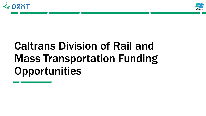



# Caltrans Division of Rail and Mass Transportation Funding **Opportunities**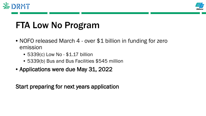



### FTA Low No Program

- NOFO released March 4 over \$1 billion in funding for zero emission
	- 5339(c) Low No \$1.17 billion
	- 5339(b) Bus and Bus Facilities \$545 million
- Applications were due May 31, 2022

Start preparing for next years application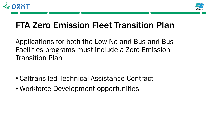



### FTA Zero Emission Fleet Transition Plan

Applications for both the Low No and Bus and Bus Facilities programs must include a Zero-Emission Transition Plan

- Caltrans led Technical Assistance Contract
- Workforce Development opportunities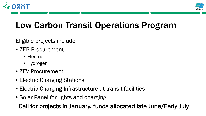



# Low Carbon Transit Operations Program

Eligible projects include:

- ZEB Procurement
	- Electric
	- Hydrogen
- ZEV Procurement
- Electric Charging Stations
- Electric Charging Infrastructure at transit facilities
- Solar Panel for lights and charging

. Call for projects in January, funds allocated late June/Early July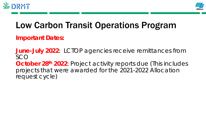



### Low Carbon Transit Operations Program

**Important Dates:**

**June-July 2022**: LCTOP agencies receive remittances from SCO **October 28<sup>th</sup> 2022**: Project activity reports due (This includes projects that were awarded for the 2021-2022 Allocation request cycle)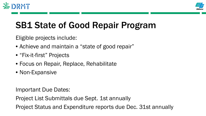



### SB1 State of Good Repair Program

Eligible projects include:

- Achieve and maintain a "state of good repair"
- "Fix-it-first" Projects
- Focus on Repair, Replace, Rehabilitate
- Non-Expansive

Important Due Dates:

Project List Submittals due Sept. 1st annually

Project Status and Expenditure reports due Dec. 31st annually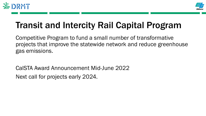



### Transit and Intercity Rail Capital Program

Competitive Program to fund a small number of transformative projects that improve the statewide network and reduce greenhouse gas emissions.

CalSTA Award Announcement Mid-June 2022 Next call for projects early 2024.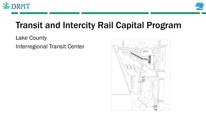



### Transit and Intercity Rail Capital Program

### Lake County Interregional Transit Center

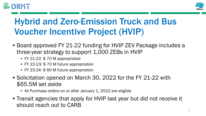



# Hybrid and Zero-Emission Truck and Bus Voucher Incentive Project (HVIP)

- Board approved FY 21-22 funding for HVIP ZEV Package includes a three-year strategy to support 1,000 ZEBs in HVIP
	- FY 21-22: \$70 M appropriated
	- FY 22-23: \$ 70 M future appropriation
	- FY 23-24: \$ 60 M future appropriation
- Solicitation opened on March 30, 2022 for the FY 21-22 with \$65.5M set aside
	- All Purchase orders on or after January 1, 2022 are eligible
- Transit agencies that apply for HVIP last year but did not receive it should reach out to CARB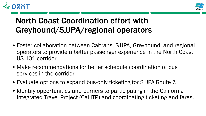



### North Coast Coordination effort with Greyhound/SJJPA/regional operators

- Foster collaboration between Caltrans, SJJPA, Greyhound, and regional operators to provide a better passenger experience in the North Coast US 101 corridor.
- Make recommendations for better schedule coordination of bus services in the corridor.
- Evaluate options to expand bus-only ticketing for SJJPA Route 7.
- Identify opportunities and barriers to participating in the California Integrated Travel Project (Cal ITP) and coordinating ticketing and fares.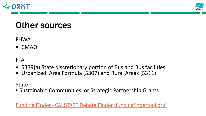



### Other sources

### FHWA

• CMAQ

### **FTA**

- 5339(a) State discretionary portion of Bus and Bus facilities.
- Urbanized Area Formula (5307) and Rural Areas (5311)

### **State**

• Sustainable Communities or Strategic Partnership Grants

Funding Finder - [CALSTART Rebate Finder \(fundingfindertool.org\)](https://fundingfindertool.org/)